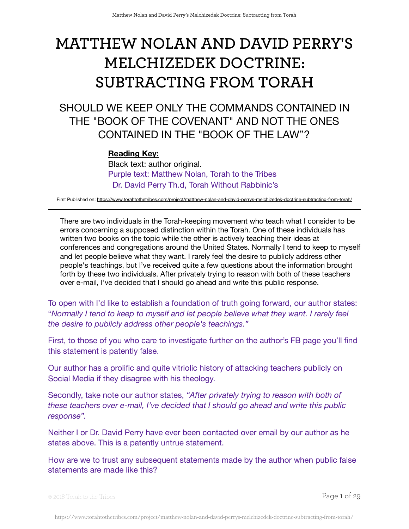# **MATTHEW NOLAN AND DAVID PERRY'S MELCHIZEDEK DOCTRINE: SUBTRACTING FROM TORAH**

SHOULD WE KEEP ONLY THE COMMANDS CONTAINED IN THE "BOOK OF THE COVENANT" AND NOT THE ONES CONTAINED IN THE "BOOK OF THE LAW"?

## **Reading Key:**

Black text: author original. Purple text: Matthew Nolan, Torah to the Tribes Dr. David Perry Th.d, Torah Without Rabbinic's

First Published on:<https://www.torahtothetribes.com/project/matthew-nolan-and-david-perrys-melchizedek-doctrine-subtracting-from-torah/>

There are two individuals in the Torah-keeping movement who teach what I consider to be errors concerning a supposed distinction within the Torah. One of these individuals has written two books on the topic while the other is actively teaching their ideas at conferences and congregations around the United States. Normally I tend to keep to myself and let people believe what they want. I rarely feel the desire to publicly address other people's teachings, but I've received quite a few questions about the information brought forth by these two individuals. After privately trying to reason with both of these teachers over e-mail, I've decided that I should go ahead and write this public response.

To open with I'd like to establish a foundation of truth going forward, our author states: "*Normally I tend to keep to myself and let people believe what they want. I rarely feel the desire to publicly address other people's teachings."*

First, to those of you who care to investigate further on the author's FB page you'll find this statement is patently false.

Our author has a prolific and quite vitriolic history of attacking teachers publicly on Social Media if they disagree with his theology.

Secondly, take note our author states, *"After privately trying to reason with both of these teachers over e-mail, I've decided that I should go ahead and write this public response".*

Neither I or Dr. David Perry have ever been contacted over email by our author as he states above. This is a patently untrue statement.

How are we to trust any subsequent statements made by the author when public false statements are made like this?

© 2018 Torah to the Tribes Page 1 of 29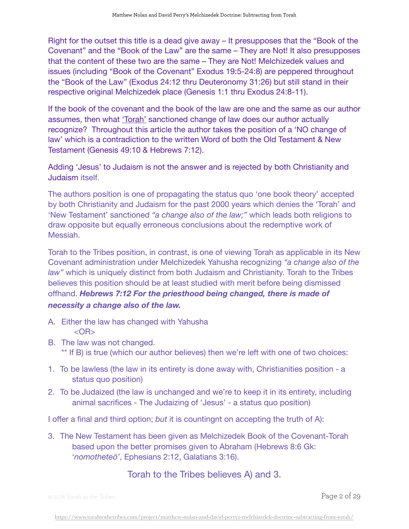Right for the outset this title is a dead give away – It presupposes that the "Book of the Covenant" and the "Book of the Law" are the same – They are Not! It also presupposes that the content of these two are the same – They are Not! Melchizedek values and issues (including "Book of the Covenant" Exodus 19:5-24:8) are peppered throughout the "Book of the Law" (Exodus 24:12 thru Deuteronomy 31:26) but still stand in their respective original Melchizedek place (Genesis 1:1 thru Exodus 24:8-11).

If the book of the covenant and the book of the law are one and the same as our author assumes, then what 'Torah' sanctioned change of law does our author actually recognize? Throughout this article the author takes the position of a 'NO change of law' which is a contradiction to the written Word of both the Old Testament & New Testament (Genesis 49:10 & Hebrews 7:12).

Adding 'Jesus' to Judaism is not the answer and is rejected by both Christianity and Judaism itself.

The authors position is one of propagating the status quo 'one book theory' accepted by both Christianity and Judaism for the past 2000 years which denies the 'Torah' and 'New Testament' sanctioned *"a change also of the law;"* which leads both religions to draw opposite but equally erroneous conclusions about the redemptive work of Messiah.

Torah to the Tribes position, in contrast, is one of viewing Torah as applicable in its New Covenant administration under Melchizedek Yahusha recognizing *"a change also of the law"* which is uniquely distinct from both Judaism and Christianity. Torah to the Tribes believes this position should be at least studied with merit before being dismissed offhand. *Hebrews 7:12 For the priesthood being changed, there is made of necessity a change also of the law.*

- A. Either the law has changed with Yahusha <OR>
- B. The law was not changed. \*\* If B) is true (which our author believes) then we're left with one of two choices:
- 1. To be lawless (the law in its entirety is done away with, Christianities position a status quo position)
- 2. To be Judaized (the law is unchanged and we're to keep it in its entirety, including animal sacrifices - The Judaizing of 'Jesus' - a status quo position)

I offer a final and third option; *but* it is countingnt on accepting the truth of A):

3. The New Testament has been given as Melchizedek Book of the Covenant-Torah based upon the better promises given to Abraham (Hebrews 8:6 Gk: '*nomotheteō'*, Ephesians 2:12, Galatians 3:16).

# Torah to the Tribes believes A) and 3.

© 2018 Torah to the Tribes Page 2 of 29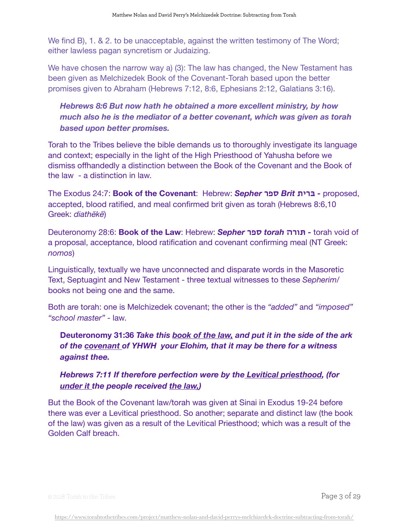We find B), 1. & 2. to be unacceptable, against the written testimony of The Word; either lawless pagan syncretism or Judaizing.

We have chosen the narrow way a) (3): The law has changed, the New Testament has been given as Melchizedek Book of the Covenant-Torah based upon the better promises given to Abraham (Hebrews 7:12, 8:6, Ephesians 2:12, Galatians 3:16).

*Hebrews 8:6 But now hath he obtained a more excellent ministry, by how much also he is the mediator of a better covenant, which was given as torah based upon better promises.* 

Torah to the Tribes believe the bible demands us to thoroughly investigate its language and context; especially in the light of the High Priesthood of Yahusha before we dismiss offhandedly a distinction between the Book of the Covenant and the Book of the law - a distinction in law.

The Exodus 24:7: **Book of the Covenant**: Hebrew: *Sepher* **ספר** *Brit* **ברית** *-* proposed, accepted, blood ratified, and meal confirmed brit given as torah (Hebrews 8:6,10 Greek: *diathēkē*)

Deuteronomy 28:6: **Book of the Law**: Hebrew: *Sepher* **ספר** *torah* **תורה** *-* torah void of a proposal, acceptance, blood ratification and covenant confirming meal (NT Greek: *nomos*)

Linguistically, textually we have unconnected and disparate words in the Masoretic Text, Septuagint and New Testament - three textual witnesses to these *Sepherim*/ books not being one and the same.

Both are torah: one is Melchizedek covenant; the other is the *"added"* and *"imposed" "school master"* - law.

**Deuteronomy 31:36** *Take this book of the law, and put it in the side of the ark of the covenant of YHWH your Elohim, that it may be there for a witness against thee.* 

*Hebrews 7:11 If therefore perfection were by the Levitical priesthood, (for under it the people received the law,)* 

But the Book of the Covenant law/torah was given at Sinai in Exodus 19-24 before there was ever a Levitical priesthood. So another; separate and distinct law (the book of the law) was given as a result of the Levitical Priesthood; which was a result of the Golden Calf breach.

© 2018 Torah to the Tribes Page 3 of 29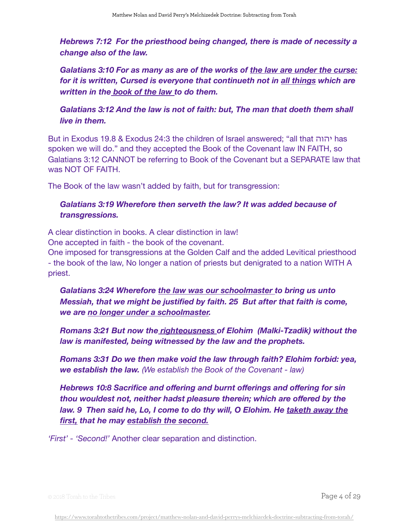*Hebrews 7:12 For the priesthood being changed, there is made of necessity a change also of the law.* 

*Galatians 3:10 For as many as are of the works of the law are under the curse: for it is written, Cursed is everyone that continueth not in all things which are written in the book of the law to do them.* 

*Galatians 3:12 And the law is not of faith: but, The man that doeth them shall live in them.* 

But in Exodus 19.8 & Exodus 24:3 the children of Israel answered; "all that יהוה has spoken we will do." and they accepted the Book of the Covenant law IN FAITH, so Galatians 3:12 CANNOT be referring to Book of the Covenant but a SEPARATE law that was NOT OF FAITH.

The Book of the law wasn't added by faith, but for transgression:

## Galatians 3:19 Wherefore then serveth the law? It was added because of *transgressions.*

A clear distinction in books. A clear distinction in law! One accepted in faith - the book of the covenant.

One imposed for transgressions at the Golden Calf and the added Levitical priesthood - the book of the law, No longer a nation of priests but denigrated to a nation WITH A priest.

*Galatians 3:24 Wherefore the law was our schoolmaster to bring us unto Messiah, that we might be justified by faith. 25 But after that faith is come, we are no longer under a schoolmaster.* 

*Romans 3:21 But now the righteousness of Elohim (Malki-Tzadik) without the law is manifested, being witnessed by the law and the prophets.* 

*Romans 3:31 Do we then make void the law through faith? Elohim forbid: yea, we establish the law. (We establish the Book of the Covenant - law)*

*Hebrews 10:8 Sacrifice and offering and burnt offerings and offering for sin thou wouldest not, neither hadst pleasure therein; which are offered by the law. 9 Then said he, Lo, I come to do thy will, O Elohim. He taketh away the first, that he may establish the second.*

*'First' - 'Second!'* Another clear separation and distinction.

© 2018 Torah to the Tribes Page 4 of 29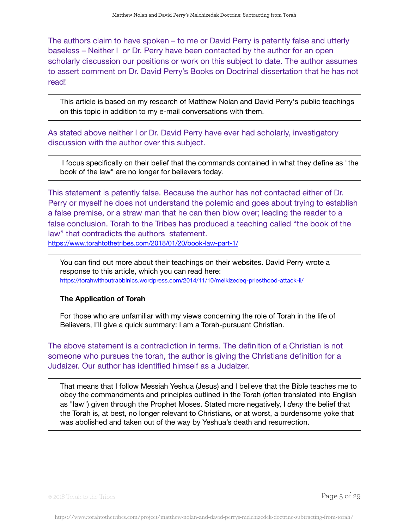The authors claim to have spoken – to me or David Perry is patently false and utterly baseless – Neither I or Dr. Perry have been contacted by the author for an open scholarly discussion our positions or work on this subject to date. The author assumes to assert comment on Dr. David Perry's Books on Doctrinal dissertation that he has not read!

This article is based on my research of Matthew Nolan and David Perry's public teachings on this topic in addition to my e-mail conversations with them.

As stated above neither I or Dr. David Perry have ever had scholarly, investigatory discussion with the author over this subject.

 I focus specifically on their belief that the commands contained in what they define as "the book of the law" are no longer for believers today.

This statement is patently false. Because the author has not contacted either of Dr. Perry or myself he does not understand the polemic and goes about trying to establish a false premise, or a straw man that he can then blow over; leading the reader to a false conclusion. Torah to the Tribes has produced a teaching called "the book of the law" that contradicts the authors statement.

<https://www.torahtothetribes.com/2018/01/20/book-law-part-1/>

You can find out more about their teachings on their websites. David Perry wrote a response to this article, which you can read [here:](https://torahwithoutrabbinics.wordpress.com/2014/11/10/melkizedeq-priesthood-attack-ii/) <https://torahwithoutrabbinics.wordpress.com/2014/11/10/melkizedeq-priesthood-attack-ii/>

## **The Application of Torah**

For those who are unfamiliar with my views concerning the role of Torah in the life of Believers, I'll give a quick summary: I am a Torah-pursuant Christian.

The above statement is a contradiction in terms. The definition of a Christian is not someone who pursues the torah, the author is giving the Christians definition for a Judaizer. Our author has identified himself as a Judaizer.

That means that I follow Messiah Yeshua (Jesus) and I believe that the Bible teaches me to obey the commandments and principles outlined in the Torah (often translated into English as "law") given through the Prophet Moses. Stated more negatively, I *deny* the belief that the Torah is, at best, no longer relevant to Christians, or at worst, a burdensome yoke that was abolished and taken out of the way by Yeshua's death and resurrection.

© 2018 Torah to the Tribes Page 5 of 29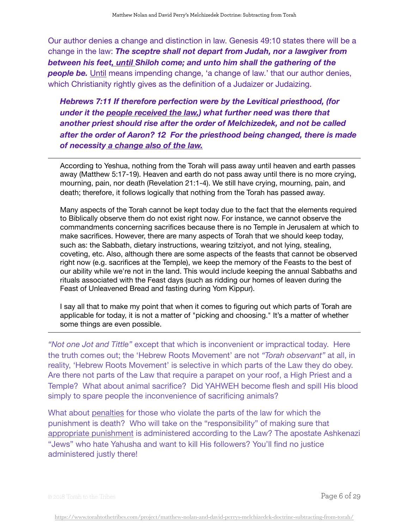Our author denies a change and distinction in law. Genesis 49:10 states there will be a change in the law: *The sceptre shall not depart from Judah, nor a lawgiver from between his feet, until Shiloh come; and unto him shall the gathering of the people be.* Until means impending change, 'a change of law.' that our author denies, which Christianity rightly gives as the definition of a Judaizer or Judaizing.

*Hebrews 7:11 If therefore perfection were by the Levitical priesthood, (for under it the people received the law,) what further need was there that another priest should rise after the order of Melchizedek, and not be called after the order of Aaron? 12 For the priesthood being changed, there is made of necessity a change also of the law.*

According to Yeshua, nothing from the Torah will pass away until heaven and earth passes away (Matthew 5:17-19). Heaven and earth do not pass away until there is no more crying, mourning, pain, nor death (Revelation 21:1-4). We still have crying, mourning, pain, and death; therefore, it follows logically that nothing from the Torah has passed away.

Many aspects of the Torah cannot be kept today due to the fact that the elements required to Biblically observe them do not exist right now. For instance, we cannot observe the commandments concerning sacrifices because there is no Temple in Jerusalem at which to make sacrifices. However, there are many aspects of Torah that we should keep today, such as: the Sabbath, dietary instructions, wearing tzitziyot, and not lying, stealing, coveting, etc. Also, although there are some aspects of the feasts that cannot be observed right now (e.g. sacrifices at the Temple), we keep the memory of the Feasts to the best of our ability while we're not in the land. This would include keeping the annual Sabbaths and rituals associated with the Feast days (such as ridding our homes of leaven during the Feast of Unleavened Bread and fasting during Yom Kippur).

I say all that to make my point that when it comes to figuring out which parts of Torah are applicable for today, it is not a matter of "picking and choosing." It's a matter of whether some things are even possible.

*"Not one Jot and Tittle"* except that which is inconvenient or impractical today. Here the truth comes out; the 'Hebrew Roots Movement' are not *"Torah observant"* at all, in reality, 'Hebrew Roots Movement' is selective in which parts of the Law they do obey. Are there not parts of the Law that require a parapet on your roof, a High Priest and a Temple? What about animal sacrifice? Did YAHWEH become flesh and spill His blood simply to spare people the inconvenience of sacrificing animals?

What about [penalties](https://joyfullygrowingingrace.wordpress.com/2010/08/25/is-law-really-law-without-enforcement/) for those who violate the parts of the law for which the punishment is death? Who will take on the "responsibility" of making sure that [appropriate punishment](https://joyfullygrowingingrace.wordpress.com/2010/08/25/is-law-really-law-without-enforcement/) is administered according to the Law? The apostate Ashkenazi "Jews" who hate Yahusha and want to kill His followers? You'll find no justice administered justly there!

© 2018 Torah to the Tribes  $\overline{P}$   $\overline{P}$   $\overline{Q}$   $\overline{Q}$   $\overline{Q}$   $\overline{Q}$   $\overline{Q}$   $\overline{Q}$   $\overline{Q}$   $\overline{Q}$   $\overline{Q}$   $\overline{Q}$   $\overline{Q}$   $\overline{Q}$   $\overline{Q}$   $\overline{Q}$   $\overline{Q}$   $\overline{Q}$   $\overline{Q}$   $\overline{Q}$   $\overline{Q}$   $\overline{$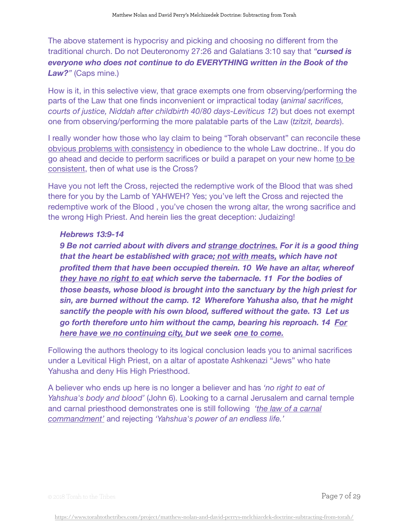The above statement is hypocrisy and picking and choosing no different from the traditional church. Do not Deuteronomy 27:26 and Galatians 3:10 say that *"cursed is everyone who does not continue to do EVERYTHING written in the Book of the Law?"* (Caps mine.)

How is it, in this selective view, that grace exempts one from observing/performing the parts of the Law that one finds inconvenient or impractical today (*animal sacrifices, courts of justice, Niddah after childbirth 40/80 days-Leviticus 12*) but does not exempt one from observing/performing the more palatable parts of the Law (*tzitzit, beards*).

I really wonder how those who lay claim to being "Torah observant" can reconcile these obvious problems with consistency in obedience to the whole Law doctrine.. If you do go ahead and decide to perform sacrifices or build a parapet on your new home to be consistent, then of what use is the Cross?

Have you not left the Cross, rejected the redemptive work of the Blood that was shed there for you by the Lamb of YAHWEH? Yes; you've left the Cross and rejected the redemptive work of the Blood , you've chosen the wrong altar, the wrong sacrifice and the wrong High Priest. And herein lies the great deception: Judaizing!

## *Hebrews 13:9-14*

**9 Be not carried about with divers and strange doctrines. For it is a good thing** *that the heart be established with grace; not with meats, which have not profited them that have been occupied therein. 10 We have an altar, whereof they have no right to eat which serve the tabernacle. 11 For the bodies of those beasts, whose blood is brought into the sanctuary by the high priest for sin, are burned without the camp. 12 Wherefore Yahusha also, that he might sanctify the people with his own blood, suffered without the gate. 13 Let us go forth therefore unto him without the camp, bearing his reproach. 14 For here have we no continuing city, but we seek one to come.*

Following the authors theology to its logical conclusion leads you to animal sacrifices under a Levitical High Priest, on a altar of apostate Ashkenazi "Jews" who hate Yahusha and deny His High Priesthood.

A believer who ends up here is no longer a believer and has *'no right to eat of Yahshua's body and blood'* (John 6). Looking to a carnal Jerusalem and carnal temple and carnal priesthood demonstrates one is still following *'the law of a carnal commandment'* and rejecting *'Yahshua's power of an endless life.'* 

© 2018 Torah to the Tribes Page 7 of 29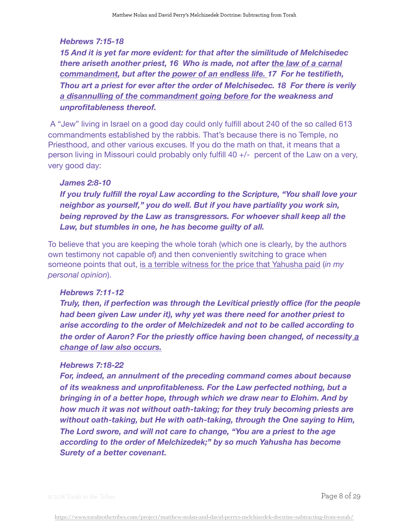## *Hebrews 7:15-18*

*15 And it is yet far more evident: for that after the similitude of Melchisedec there ariseth another priest, 16 Who is made, not after the law of a carnal commandment, but after the power of an endless life. 17 For he testifieth, Thou art a priest for ever after the order of Melchisedec. 18 For there is verily a disannulling of the commandment going before for the weakness and unprofitableness thereof.* 

 A "Jew" living in Israel on a good day could only fulfill about 240 of the so called 613 commandments established by the rabbis. That's because there is no Temple, no Priesthood, and other various excuses. If you do the math on that, it means that a person living in Missouri could probably only fulfill 40 +/- percent of the Law on a very, very good day:

## *James 2:8-10*

*If you truly fulfill the royal Law according to the Scripture, "You shall love your neighbor as yourself," you do well. But if you have partiality you work sin, being reproved by the Law as transgressors. For whoever shall keep all the Law, but stumbles in one, he has become guilty of all.*

To believe that you are keeping the whole torah (which one is clearly, by the authors own testimony not capable of) and then conveniently switching to grace when someone points that out, is a terrible witness for the price that Yahusha paid (*in my personal opinion*).

### *Hebrews 7:11-12*

*Truly, then, if perfection was through the Levitical priestly office (for the people had been given Law under it), why yet was there need for another priest to arise according to the order of Melchizedek and not to be called according to the order of Aaron? For the priestly office having been changed, of necessity a change of law also occurs.*

### *Hebrews 7:18-22*

*For, indeed, an annulment of the preceding command comes about because of its weakness and unprofitableness. For the Law perfected nothing, but a bringing in of a better hope, through which we draw near to Elohim. And by how much it was not without oath-taking; for they truly becoming priests are without oath-taking, but He with oath-taking, through the One saying to Him, The Lord swore, and will not care to change, "You are a priest to the age according to the order of Melchizedek;" by so much Yahusha has become Surety of a better covenant.*

© 2018 Torah to the Tribes Page 8 of 29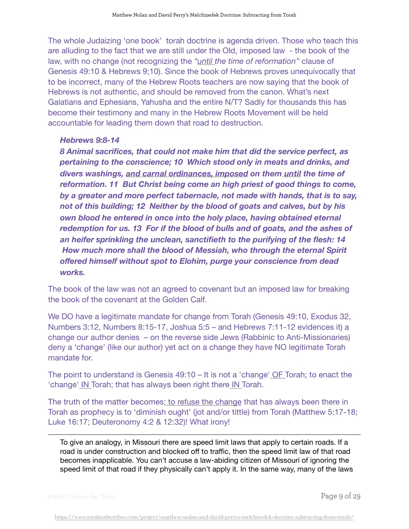The whole Judaizing 'one book' torah doctrine is agenda driven. Those who teach this are alluding to the fact that we are still under the Old, imposed law - the book of the law, with no change (not recognizing the *"until the time of reformation"* clause of Genesis 49:10 & Hebrews 9;10). Since the book of Hebrews proves unequivocally that to be incorrect, many of the Hebrew Roots teachers are now saying that the book of Hebrews is not authentic, and should be removed from the canon. What's next Galatians and Ephesians, Yahusha and the entire N/T? Sadly for thousands this has become their testimony and many in the Hebrew Roots Movement will be held accountable for leading them down that road to destruction.

## *Hebrews 9:8-14*

*8 Animal sacrifices, that could not make him that did the service perfect, as pertaining to the conscience; 10 Which stood only in meats and drinks, and divers washings, and carnal ordinances, imposed on them until the time of reformation. 11 But Christ being come an high priest of good things to come, by a greater and more perfect tabernacle, not made with hands, that is to say, not of this building; 12 Neither by the blood of goats and calves, but by his own blood he entered in once into the holy place, having obtained eternal redemption for us. 13 For if the blood of bulls and of goats, and the ashes of an heifer sprinkling the unclean, sanctifieth to the purifying of the flesh: 14 How much more shall the blood of Messiah, who through the eternal Spirit offered himself without spot to Elohim, purge your conscience from dead works.*

The book of the law was not an agreed to covenant but an imposed law for breaking the book of the covenant at the Golden Calf.

We DO have a legitimate mandate for change from Torah (Genesis 49:10, Exodus 32, Numbers 3:12, Numbers 8:15-17, Joshua 5:5 – and Hebrews 7:11-12 evidences it) a change our author denies – on the reverse side Jews (Rabbinic to Anti-Missionaries) deny a 'change' (like our author) yet act on a change they have NO legitimate Torah mandate for.

The point to understand is Genesis 49:10 – It is not a 'change' OF Torah; to enact the 'change' IN Torah; that has always been right there IN Torah.

The truth of the matter becomes; to refuse the change that has always been there in Torah as prophecy is to 'diminish ought' (jot and/or tittle) from Torah (Matthew 5:17-18; Luke 16:17; Deuteronomy 4:2 & 12:32)! What irony!

To give an analogy, in Missouri there are speed limit laws that apply to certain roads. If a road is under construction and blocked off to traffic, then the speed limit law of that road becomes inapplicable. You can't accuse a law-abiding citizen of Missouri of ignoring the speed limit of that road if they physically can't apply it. In the same way, many of the laws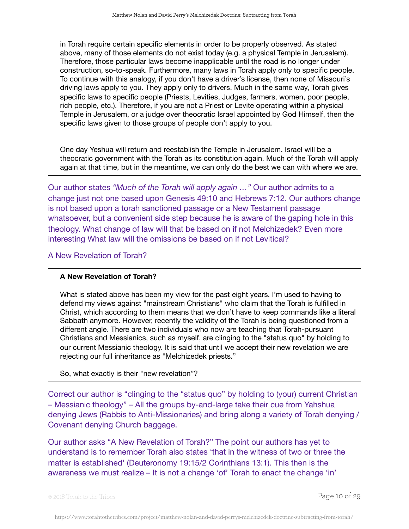in Torah require certain specific elements in order to be properly observed. As stated above, many of those elements do not exist today (e.g. a physical Temple in Jerusalem). Therefore, those particular laws become inapplicable until the road is no longer under construction, so-to-speak. Furthermore, many laws in Torah apply only to specific people. To continue with this analogy, if you don't have a driver's license, then none of Missouri's driving laws apply to you. They apply only to drivers. Much in the same way, Torah gives specific laws to specific people (Priests, Levities, Judges, farmers, women, poor people, rich people, etc.). Therefore, if you are not a Priest or Levite operating within a physical Temple in Jerusalem, or a judge over theocratic Israel appointed by God Himself, then the specific laws given to those groups of people don't apply to you.

One day Yeshua will return and reestablish the Temple in Jerusalem. Israel will be a theocratic government with the Torah as its constitution again. Much of the Torah will apply again at that time, but in the meantime, we can only do the best we can with where we are.

Our author states *"Much of the Torah will apply again …"* Our author admits to a change just not one based upon Genesis 49:10 and Hebrews 7:12. Our authors change is not based upon a torah sanctioned passage or a New Testament passage whatsoever, but a convenient side step because he is aware of the gaping hole in this theology. What change of law will that be based on if not Melchizedek? Even more interesting What law will the omissions be based on if not Levitical?

A New Revelation of Torah?

### **A New Revelation of Torah?**

What is stated above has been my view for the past eight years. I'm used to having to defend my views against "mainstream Christians" who claim that the Torah is fulfilled in Christ, which according to them means that we don't have to keep commands like a literal Sabbath anymore. However, recently the validity of the Torah is being questioned from a different angle. There are two individuals who now are teaching that Torah-pursuant Christians and Messianics, such as myself, are clinging to the "status quo" by holding to our current Messianic theology. It is said that until we accept their new revelation we are rejecting our full inheritance as "Melchizedek priests."

So, what exactly is their "new revelation"?

Correct our author is "clinging to the "status quo" by holding to (your) current Christian – Messianic theology" – All the groups by-and-large take their cue from Yahshua denying Jews (Rabbis to Anti-Missionaries) and bring along a variety of Torah denying / Covenant denying Church baggage.

Our author asks "A New Revelation of Torah?" The point our authors has yet to understand is to remember Torah also states 'that in the witness of two or three the matter is established' (Deuteronomy 19:15/2 Corinthians 13:1). This then is the awareness we must realize – It is not a change 'of' Torah to enact the change 'in'

 $\circ$  2018 Torah to the Tribes  $\bullet$  29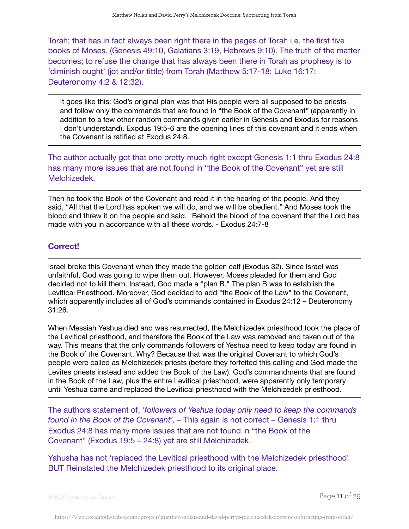Torah; that has in fact always been right there in the pages of Torah i.e. the first five books of Moses. (Genesis 49:10, Galatians 3:19, Hebrews 9:10). The truth of the matter becomes; to refuse the change that has always been there in Torah as prophesy is to 'diminish ought' (jot and/or tittle) from Torah (Matthew 5:17-18; Luke 16:17; Deuteronomy 4:2 & 12:32).

It goes like this: God's original plan was that His people were all supposed to be priests and follow only the commands that are found in "the Book of the Covenant" (apparently in addition to a few other random commands given earlier in Genesis and Exodus for reasons I don't understand). Exodus 19:5-6 are the opening lines of this covenant and it ends when the Covenant is ratified at Exodus 24:8.

The author actually got that one pretty much right except Genesis 1:1 thru Exodus 24:8 has many more issues that are not found in "the Book of the Covenant" yet are still Melchizedek.

Then he took the Book of the Covenant and read it in the hearing of the people. And they said, "All that the Lord has spoken we will do, and we will be obedient." And Moses took the blood and threw it on the people and said, "Behold the blood of the covenant that the Lord has made with you in accordance with all these words. - Exodus 24:7-8

## **Correct!**

Israel broke this Covenant when they made the golden calf (Exodus 32). Since Israel was unfaithful, God was going to wipe them out. However, Moses pleaded for them and God decided not to kill them. Instead, God made a "plan B." The plan B was to establish the Levitical Priesthood. Moreover, God decided to add "the Book of the Law" to the Covenant, which apparently includes all of God's commands contained in Exodus 24:12 – Deuteronomy 31:26.

When Messiah Yeshua died and was resurrected, the Melchizedek priesthood took the place of the Levitical priesthood, and therefore the Book of the Law was removed and taken out of the way. This means that the only commands followers of Yeshua need to keep today are found in the Book of the Covenant. Why? Because that was the original Covenant to which God's people were called as Melchizedek priests (before they forfeited this calling and God made the Levites priests instead and added the Book of the Law). God's commandments that are found in the Book of the Law, plus the entire Levitical priesthood, were apparently only temporary until Yeshua came and replaced the Levitical priesthood with the Melchizedek priesthood.

The authors statement of, *'followers of Yeshua today only need to keep the commands found in the Book of the Covenant',* – This again is not correct – Genesis 1:1 thru Exodus 24:8 has many more issues that are not found in "the Book of the Covenant" (Exodus 19:5 – 24:8) yet are still Melchizedek.

Yahusha has not 'replaced the Levitical priesthood with the Melchizedek priesthood' BUT Reinstated the Melchizedek priesthood to its original place.

© 2018 Torah to the Tribes Page 11 of 29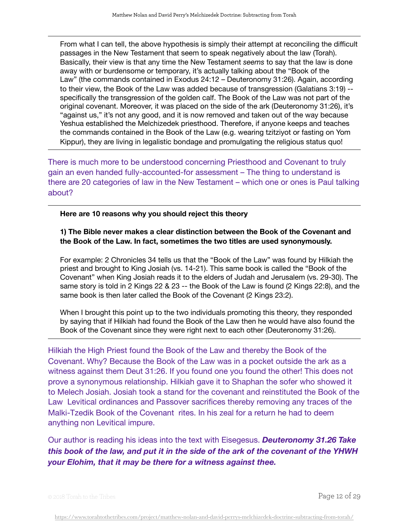From what I can tell, the above hypothesis is simply their attempt at reconciling the difficult passages in the New Testament that seem to speak negatively about the law (Torah). Basically, their view is that any time the New Testament *seems* to say that the law is done away with or burdensome or temporary, it's actually talking about the "Book of the Law" (the commands contained in Exodus 24:12 – Deuteronomy 31:26). Again, according to their view, the Book of the Law was added because of transgression (Galatians 3:19) - specifically the transgression of the golden calf. The Book of the Law was not part of the original covenant. Moreover, it was placed on the side of the ark (Deuteronomy 31:26), it's "against us," it's not any good, and it is now removed and taken out of the way because Yeshua established the Melchizedek priesthood. Therefore, if anyone keeps and teaches the commands contained in the Book of the Law (e.g. wearing tzitziyot or fasting on Yom Kippur), they are living in legalistic bondage and promulgating the religious status quo!

There is much more to be understood concerning Priesthood and Covenant to truly gain an even handed fully-accounted-for assessment – The thing to understand is there are 20 categories of law in the New Testament – which one or ones is Paul talking about?

### **Here are 10 reasons why you should reject this theory**

## **1) The Bible never makes a clear distinction between the Book of the Covenant and the Book of the Law. In fact, sometimes the two titles are used synonymously.**

For example: 2 Chronicles 34 tells us that the "Book of the Law" was found by Hilkiah the priest and brought to King Josiah (vs. 14-21). This same book is called the "Book of the Covenant" when King Josiah reads it to the elders of Judah and Jerusalem (vs. 29-30). The same story is told in 2 Kings 22 & 23 -- the Book of the Law is found (2 Kings 22:8), and the same book is then later called the Book of the Covenant (2 Kings 23:2).

When I brought this point up to the two individuals promoting this theory, they responded by saying that if Hilkiah had found the Book of the Law then he would have also found the Book of the Covenant since they were right next to each other (Deuteronomy 31:26).

## Hilkiah the High Priest found the Book of the Law and thereby the Book of the

Covenant. Why? Because the Book of the Law was in a pocket outside the ark as a witness against them Deut 31:26. If you found one you found the other! This does not prove a synonymous relationship. Hilkiah gave it to Shaphan the sofer who showed it to Melech Josiah. Josiah took a stand for the covenant and reinstituted the Book of the Law Levitical ordinances and Passover sacrifices thereby removing any traces of the Malki-Tzedik Book of the Covenant rites. In his zeal for a return he had to deem anything non Levitical impure.

Our author is reading his ideas into the text with Eisegesus. *Deuteronomy 31.26 Take this book of the law, and put it in the side of the ark of the covenant of the YHWH your Elohim, that it may be there for a witness against thee.*

© 2018 Torah to the Tribes  $\overline{P}$   $\overline{P}$   $\overline{Q}$   $\overline{Q}$   $\overline{Q}$   $\overline{Q}$   $\overline{Q}$   $\overline{Q}$   $\overline{Q}$   $\overline{Q}$   $\overline{Q}$   $\overline{Q}$   $\overline{Q}$   $\overline{Q}$   $\overline{Q}$   $\overline{Q}$   $\overline{Q}$   $\overline{Q}$   $\overline{Q}$   $\overline{Q}$   $\overline{Q}$   $\overline{$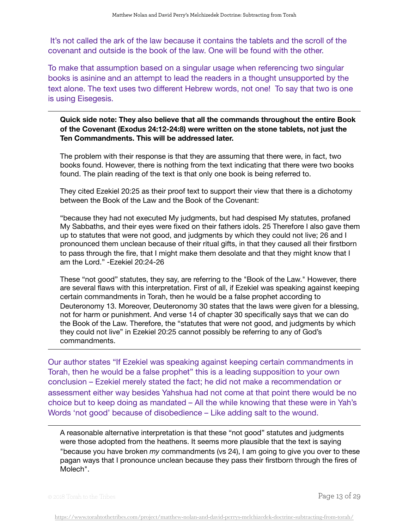It's not called the ark of the law because it contains the tablets and the scroll of the covenant and outside is the book of the law. One will be found with the other.

To make that assumption based on a singular usage when referencing two singular books is asinine and an attempt to lead the readers in a thought unsupported by the text alone. The text uses two different Hebrew words, not one! To say that two is one is using Eisegesis.

**Quick side note: They also believe that all the commands throughout the entire Book of the Covenant (Exodus 24:12-24:8) were written on the stone tablets, not just the Ten Commandments. This will be addressed later.**

The problem with their response is that they are assuming that there were, in fact, two books found. However, there is nothing from the text indicating that there were two books found. The plain reading of the text is that only one book is being referred to.

They cited Ezekiel 20:25 as their proof text to support their view that there is a dichotomy between the Book of the Law and the Book of the Covenant:

"because they had not executed My judgments, but had despised My statutes, profaned My Sabbaths, and their eyes were fixed on their fathers idols. 25 Therefore I also gave them up to statutes that were not good, and judgments by which they could not live; 26 and I pronounced them unclean because of their ritual gifts, in that they caused all their firstborn to pass through the fire, that I might make them desolate and that they might know that I am the Lord." -Ezekiel 20:24-26

These "not good" statutes, they say, are referring to the "Book of the Law." However, there are several flaws with this interpretation. First of all, if Ezekiel was speaking against keeping certain commandments in Torah, then he would be a false prophet according to Deuteronomy 13. Moreover, Deuteronomy 30 states that the laws were given for a blessing, not for harm or punishment. And verse 14 of chapter 30 specifically says that we can do the Book of the Law. Therefore, the "statutes that were not good, and judgments by which they could not live" in Ezekiel 20:25 cannot possibly be referring to any of God's commandments.

Our author states "If Ezekiel was speaking against keeping certain commandments in Torah, then he would be a false prophet" this is a leading supposition to your own conclusion – Ezekiel merely stated the fact; he did not make a recommendation or assessment either way besides Yahshua had not come at that point there would be no choice but to keep doing as mandated – All the while knowing that these were in Yah's Words 'not good' because of disobedience – Like adding salt to the wound.

A reasonable alternative interpretation is that these "not good" statutes and judgments were those adopted from the heathens. It seems more plausible that the text is saying "because you have broken *my* commandments (vs 24), I am going to give you over to these pagan ways that I pronounce unclean because they pass their firstborn through the fires of Molech".

© 2018 Torah to the Tribes  $\overline{P}$   $\overline{P}$   $\overline{Q}$   $\overline{Q}$   $\overline{Q}$   $\overline{Q}$   $\overline{Q}$   $\overline{Q}$   $\overline{Q}$   $\overline{Q}$   $\overline{Q}$   $\overline{Q}$   $\overline{Q}$   $\overline{Q}$   $\overline{Q}$   $\overline{Q}$   $\overline{Q}$   $\overline{Q}$   $\overline{Q}$   $\overline{Q}$   $\overline{Q}$   $\overline{$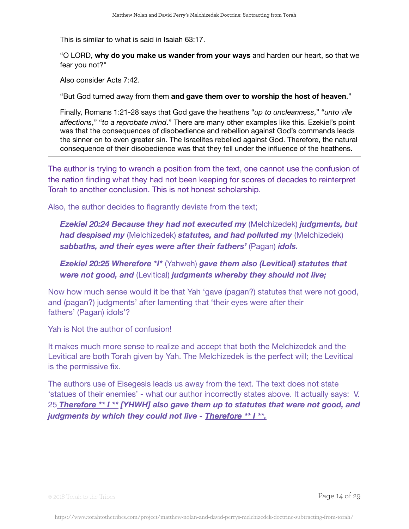This is similar to what is said in Isaiah 63:17.

"O LORD, **why do you make us wander from your ways** and harden our heart, so that we fear you not?"

Also consider Acts 7:42.

"But God turned away from them **and gave them over to worship the host of heaven**."

Finally, Romans 1:21-28 says that God gave the heathens "*up to uncleanness*," "*unto vile affections*," "*to a reprobate mind*." There are many other examples like this. Ezekiel's point was that the consequences of disobedience and rebellion against God's commands leads the sinner on to even greater sin. The Israelites rebelled against God. Therefore, the natural consequence of their disobedience was that they fell under the influence of the heathens.

The author is trying to wrench a position from the text, one cannot use the confusion of the nation finding what they had not been keeping for scores of decades to reinterpret Torah to another conclusion. This is not honest scholarship.

Also, the author decides to flagrantly deviate from the text;

*Ezekiel 20:24 Because they had not executed my* (Melchizedek) *judgments, but had despised my* (Melchizedek) *statutes, and had polluted my* (Melchizedek) *sabbaths, and their eyes were after their fathers'* (Pagan) *idols.*

*Ezekiel 20:25 Wherefore \*I\** (Yahweh) *gave them also (Levitical) statutes that were not good, and* (Levitical) *judgments whereby they should not live;*

Now how much sense would it be that Yah 'gave (pagan?) statutes that were not good, and (pagan?) judgments' after lamenting that 'their eyes were after their fathers' (Pagan) idols'?

Yah is Not the author of confusion!

It makes much more sense to realize and accept that both the Melchizedek and the Levitical are both Torah given by Yah. The Melchizedek is the perfect will; the Levitical is the permissive fix.

The authors use of Eisegesis leads us away from the text. The text does not state 'statues of their enemies' - what our author incorrectly states above. It actually says: V. 25 *Therefore \*\* I \*\* [YHWH] also gave them up to statutes that were not good, and judgments by which they could not live - Therefore \*\* I \*\*.*

© 2018 Torah to the Tribes Page 14 of 29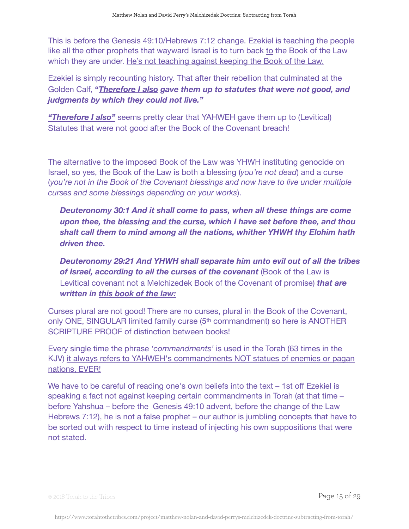This is before the Genesis 49:10/Hebrews 7:12 change. Ezekiel is teaching the people like all the other prophets that wayward Israel is to turn back to the Book of the Law which they are under. He's not teaching against keeping the Book of the Law.

Ezekiel is simply recounting history. That after their rebellion that culminated at the Golden Calf, **"***Therefore I also gave them up to statutes that were not good, and judgments by which they could not live."*

*"Therefore I also"* seems pretty clear that YAHWEH gave them up to (Levitical) Statutes that were not good after the Book of the Covenant breach!

The alternative to the imposed Book of the Law was YHWH instituting genocide on Israel, so yes, the Book of the Law is both a blessing (*you're not dead*) and a curse (*you're not in the Book of the Covenant blessings and now have to live under multiple curses and some blessings depending on your works*).

*Deuteronomy 30:1 And it shall come to pass, when all these things are come upon thee, the blessing and the curse, which I have set before thee, and thou shalt call them to mind among all the nations, whither YHWH thy Elohim hath driven thee.*

*Deuteronomy 29:21 And YHWH shall separate him unto evil out of all the tribes of Israel, according to all the curses of the covenant* (Book of the Law is Levitical covenant not a Melchizedek Book of the Covenant of promise) *that are written in this book of the law:*

Curses plural are not good! There are no curses, plural in the Book of the Covenant, only ONE, SINGULAR limited family curse (5th commandment) so here is ANOTHER SCRIPTURE PROOF of distinction between books!

Every single time the phrase *'commandments'* is used in the Torah (63 times in the KJV) it always refers to YAHWEH's commandments NOT statues of enemies or pagan nations, EVER!

We have to be careful of reading one's own beliefs into the text – 1st off Ezekiel is speaking a fact not against keeping certain commandments in Torah (at that time – before Yahshua – before the Genesis 49:10 advent, before the change of the Law Hebrews 7:12), he is not a false prophet – our author is jumbling concepts that have to be sorted out with respect to time instead of injecting his own suppositions that were not stated.

© 2018 Torah to the Tribes Page 15 of 29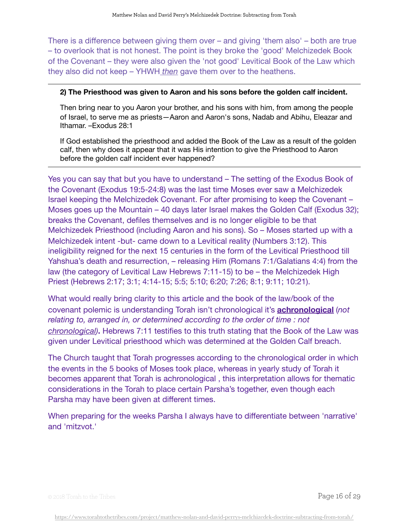There is a difference between giving them over – and giving 'them also' – both are true – to overlook that is not honest. The point is they broke the 'good' Melchizedek Book of the Covenant – they were also given the 'not good' Levitical Book of the Law which they also did not keep – YHWH *then* gave them over to the heathens.

## **2) The Priesthood was given to Aaron and his sons before the golden calf incident.**

Then bring near to you Aaron your brother, and his sons with him, from among the people of Israel, to serve me as priests—Aaron and Aaron's sons, Nadab and Abihu, Eleazar and Ithamar. –Exodus 28:1

If God established the priesthood and added the Book of the Law as a result of the golden calf, then why does it appear that it was His intention to give the Priesthood to Aaron before the golden calf incident ever happened?

Yes you can say that but you have to understand – The setting of the Exodus Book of the Covenant (Exodus 19:5-24:8) was the last time Moses ever saw a Melchizedek Israel keeping the Melchizedek Covenant. For after promising to keep the Covenant – Moses goes up the Mountain – 40 days later Israel makes the Golden Calf (Exodus 32); breaks the Covenant, defiles themselves and is no longer eligible to be that Melchizedek Priesthood (including Aaron and his sons). So – Moses started up with a Melchizedek intent -but- came down to a Levitical reality (Numbers 3:12). This ineligibility reigned for the next 15 centuries in the form of the Levitical Priesthood till Yahshua's death and resurrection, – releasing Him (Romans 7:1/Galatians 4:4) from the law (the category of Levitical Law Hebrews 7:11-15) to be – the Melchizedek High Priest (Hebrews 2:17; 3:1; 4:14-15; 5:5; 5:10; 6:20; 7:26; 8:1; 9:11; 10:21).

What would really bring clarity to this article and the book of the law/book of the covenant polemic is understanding Torah isn't chronological it's **[achronological](https://www.merriam-webster.com/dictionary/achronological)** (*not relating to, arranged in, or determined according to the order of time : not [chronological\)](https://www.merriam-webster.com/dictionary/chronological)***.** Hebrews 7:11 testifies to this truth stating that the Book of the Law was given under Levitical priesthood which was determined at the Golden Calf breach.

The Church taught that Torah progresses according to the chronological order in which the events in the 5 books of Moses took place, whereas in yearly study of Torah it becomes apparent that Torah is achronological , this interpretation allows for thematic considerations in the Torah to place certain Parsha's together, even though each Parsha may have been given at different times.

When preparing for the weeks Parsha I always have to differentiate between 'narrative' and 'mitzvot.'

© 2018 Torah to the Tribes Page 16 of 29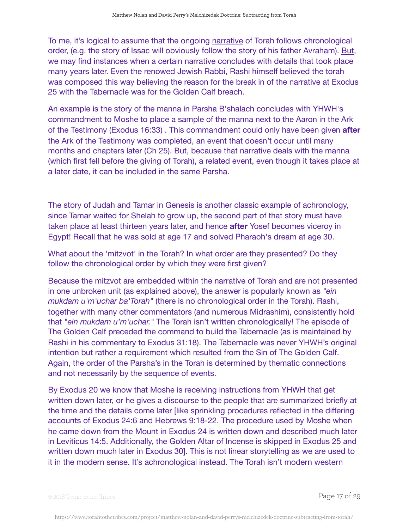To me, it's logical to assume that the ongoing narrative of Torah follows chronological order, (e.g. the story of Issac will obviously follow the story of his father Avraham). But, we may find instances when a certain narrative concludes with details that took place many years later. Even the renowed Jewish Rabbi, Rashi himself believed the torah was composed this way believing the reason for the break in of the narrative at Exodus 25 with the Tabernacle was for the Golden Calf breach.

An example is the story of the manna in Parsha B'shalach concludes with YHWH's commandment to Moshe to place a sample of the manna next to the Aaron in the Ark of the Testimony (Exodus 16:33) . This commandment could only have been given **after** the Ark of the Testimony was completed, an event that doesn't occur until many months and chapters later (Ch 25). But, because that narrative deals with the manna (which first fell before the giving of Torah), a related event, even though it takes place at a later date, it can be included in the same Parsha.

The story of Judah and Tamar in Genesis is another classic example of achronology, since Tamar waited for Shelah to grow up, the second part of that story must have taken place at least thirteen years later, and hence **after** Yosef becomes viceroy in Egypt! Recall that he was sold at age 17 and solved Pharaoh's dream at age 30.

What about the 'mitzvot' in the Torah? In what order are they presented? Do they follow the chronological order by which they were first given?

Because the mitzvot are embedded within the narrative of Torah and are not presented in one unbroken unit (as explained above), the answer is popularly known as *"ein mukdam u'm'uchar ba'Torah"* (there is no chronological order in the Torah). Rashi, together with many other commentators (and numerous Midrashim), consistently hold that *"ein mukdam u'm'uchar."* The Torah isn't written chronologically! The episode of The Golden Calf preceded the command to build the Tabernacle (as is maintained by Rashi in his commentary to Exodus 31:18). The Tabernacle was never YHWH's original intention but rather a requirement which resulted from the Sin of The Golden Calf. Again, the order of the Parsha's in the Torah is determined by thematic connections and not necessarily by the sequence of events.

By Exodus 20 we know that Moshe is receiving instructions from YHWH that get written down later, or he gives a discourse to the people that are summarized briefly at the time and the details come later [like sprinkling procedures reflected in the differing accounts of Exodus 24:6 and Hebrews 9:18-22. The procedure used by Moshe when he came down from the Mount in Exodus 24 is written down and described much later in Leviticus 14:5. Additionally, the Golden Altar of Incense is skipped in Exodus 25 and written down much later in Exodus 30]. This is not linear storytelling as we are used to it in the modern sense. It's achronological instead. The Torah isn't modern western

© 2018 Torah to the Tribes Page 17 of 29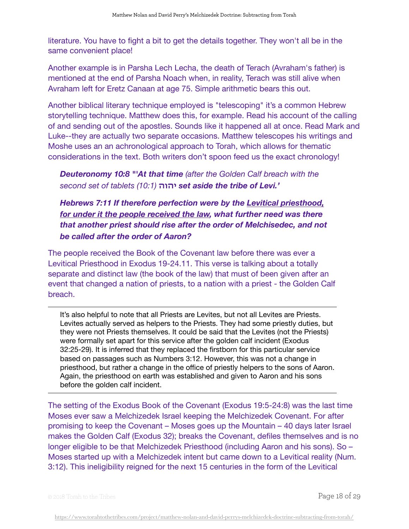literature. You have to fight a bit to get the details together. They won't all be in the same convenient place!

Another example is in Parsha Lech Lecha, the death of Terach (Avraham's father) is mentioned at the end of Parsha Noach when, in reality, Terach was still alive when Avraham left for Eretz Canaan at age 75. Simple arithmetic bears this out.

Another biblical literary technique employed is "telescoping" it's a common Hebrew storytelling technique. Matthew does this, for example. Read his account of the calling of and sending out of the apostles. Sounds like it happened all at once. Read Mark and Luke--they are actually two separate occasions. Matthew telescopes his writings and Moshe uses an an achronological approach to Torah, which allows for thematic considerations in the text. Both writers don't spoon feed us the exact chronology!

*Deuteronomy 10:8 "'At that time (after the Golden Calf breach with the second set of tablets (10:1)* **יהוה** *set aside the tribe of Levi.'*

*Hebrews 7:11 If therefore perfection were by the Levitical priesthood,*  for under it the people received the law, what further need was there *that another priest should rise after the order of Melchisedec, and not be called after the order of Aaron?*

The people received the Book of the Covenant law before there was ever a Levitical Priesthood in Exodus 19-24.11. This verse is talking about a totally separate and distinct law (the book of the law) that must of been given after an event that changed a nation of priests, to a nation with a priest - the Golden Calf breach.

It's also helpful to note that all Priests are Levites, but not all Levites are Priests. Levites actually served as helpers to the Priests. They had some priestly duties, but they were not Priests themselves. It could be said that the Levites (not the Priests) were formally set apart for this service after the golden calf incident (Exodus 32:25-29). It is inferred that they replaced the firstborn for this particular service based on passages such as Numbers 3:12. However, this was not a change in priesthood, but rather a change in the office of priestly helpers to the sons of Aaron. Again, the priesthood on earth was established and given to Aaron and his sons before the golden calf incident.

The setting of the Exodus Book of the Covenant (Exodus 19:5-24:8) was the last time Moses ever saw a Melchizedek Israel keeping the Melchizedek Covenant. For after promising to keep the Covenant – Moses goes up the Mountain – 40 days later Israel makes the Golden Calf (Exodus 32); breaks the Covenant, defiles themselves and is no longer eligible to be that Melchizedek Priesthood (including Aaron and his sons). So – Moses started up with a Melchizedek intent but came down to a Levitical reality (Num. 3:12). This ineligibility reigned for the next 15 centuries in the form of the Levitical

© 2018 Torah to the Tribes  $\overline{P}$   $\overline{P}$   $\overline{Q}$   $\overline{Q}$   $\overline{Q}$   $\overline{Q}$   $\overline{Q}$   $\overline{Q}$   $\overline{Q}$   $\overline{Q}$   $\overline{Q}$   $\overline{Q}$   $\overline{Q}$   $\overline{Q}$   $\overline{Q}$   $\overline{Q}$   $\overline{Q}$   $\overline{Q}$   $\overline{Q}$   $\overline{Q}$   $\overline{Q}$   $\overline{$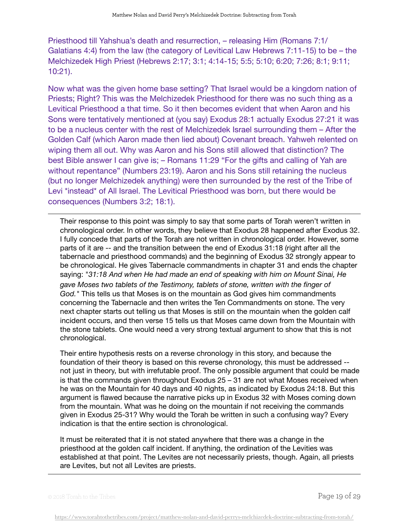Priesthood till Yahshua's death and resurrection, – releasing Him (Romans 7:1/ Galatians 4:4) from the law (the category of Levitical Law Hebrews 7:11-15) to be – the Melchizedek High Priest (Hebrews 2:17; 3:1; 4:14-15; 5:5; 5:10; 6:20; 7:26; 8:1; 9:11; 10:21).

Now what was the given home base setting? That Israel would be a kingdom nation of Priests; Right? This was the Melchizedek Priesthood for there was no such thing as a Levitical Priesthood a that time. So it then becomes evident that when Aaron and his Sons were tentatively mentioned at (you say) Exodus 28:1 actually Exodus 27:21 it was to be a nucleus center with the rest of Melchizedek Israel surrounding them – After the Golden Calf (which Aaron made then lied about) Covenant breach. Yahweh relented on wiping them all out. Why was Aaron and his Sons still allowed that distinction? The best Bible answer I can give is; – Romans 11:29 "For the gifts and calling of Yah are without repentance" (Numbers 23:19). Aaron and his Sons still retaining the nucleus (but no longer Melchizedek anything) were then surrounded by the rest of the Tribe of Levi \*instead\* of All Israel. The Levitical Priesthood was born, but there would be consequences (Numbers 3:2; 18:1).

Their response to this point was simply to say that some parts of Torah weren't written in chronological order. In other words, they believe that Exodus 28 happened after Exodus 32. I fully concede that parts of the Torah are not written in chronological order. However, some parts of it are -- and the transition between the end of Exodus 31:18 (right after all the tabernacle and priesthood commands) and the beginning of Exodus 32 strongly appear to be chronological. He gives Tabernacle commandments in chapter 31 and ends the chapter saying: "*31:18 And when He had made an end of speaking with him on Mount Sinai, He gave Moses two tablets of the Testimony, tablets of stone, written with the finger of God."* This tells us that Moses is on the mountain as God gives him commandments concerning the Tabernacle and then writes the Ten Commandments on stone. The very next chapter starts out telling us that Moses is still on the mountain when the golden calf incident occurs, and then verse 15 tells us that Moses came down from the Mountain with the stone tablets. One would need a very strong textual argument to show that this is not chronological.

Their entire hypothesis rests on a reverse chronology in this story, and because the foundation of their theory is based on this reverse chronology, this must be addressed - not just in theory, but with irrefutable proof. The only possible argument that could be made is that the commands given throughout Exodus 25 – 31 are not what Moses received when he was on the Mountain for 40 days and 40 nights, as indicated by Exodus 24:18. But this argument is flawed because the narrative picks up in Exodus 32 with Moses coming down from the mountain. What was he doing on the mountain if not receiving the commands given in Exodus 25-31? Why would the Torah be written in such a confusing way? Every indication is that the entire section is chronological.

It must be reiterated that it is not stated anywhere that there was a change in the priesthood at the golden calf incident. If anything, the ordination of the Levities was established at that point. The Levites are not necessarily priests, though. Again, all priests are Levites, but not all Levites are priests.

© 2018 Torah to the Tribes Page 19 of 29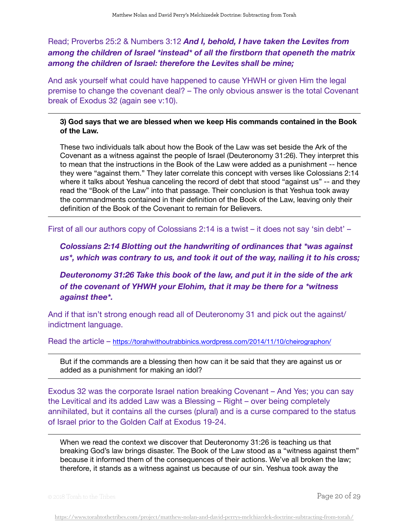# Read; Proverbs 25:2 & Numbers 3:12 *And I, behold, I have taken the Levites from among the children of Israel \*instead\* of all the firstborn that openeth the matrix among the children of Israel: therefore the Levites shall be mine;*

And ask yourself what could have happened to cause YHWH or given Him the legal premise to change the covenant deal? – The only obvious answer is the total Covenant break of Exodus 32 (again see v:10).

## **3) God says that we are blessed when we keep His commands contained in the Book of the Law.**

These two individuals talk about how the Book of the Law was set beside the Ark of the Covenant as a witness against the people of Israel (Deuteronomy 31:26). They interpret this to mean that the instructions in the Book of the Law were added as a punishment -- hence they were "against them." They later correlate this concept with verses like Colossians 2:14 where it talks about Yeshua canceling the record of debt that stood "against us" -- and they read the "Book of the Law" into that passage. Their conclusion is that Yeshua took away the commandments contained in their definition of the Book of the Law, leaving only their definition of the Book of the Covenant to remain for Believers.

First of all our authors copy of Colossians 2:14 is a twist – it does not say 'sin debt' –

*Colossians 2:14 Blotting out the handwriting of ordinances that \*was against us\*, which was contrary to us, and took it out of the way, nailing it to his cross;* 

*Deuteronomy 31:26 Take this book of the law, and put it in the side of the ark of the covenant of YHWH your Elohim, that it may be there for a \*witness against thee\*.* 

And if that isn't strong enough read all of Deuteronomy 31 and pick out the against/ indictment language.

Read the article – <https://torahwithoutrabbinics.wordpress.com/2014/11/10/cheirographon/>

But if the commands are a blessing then how can it be said that they are against us or added as a punishment for making an idol?

Exodus 32 was the corporate Israel nation breaking Covenant – And Yes; you can say the Levitical and its added Law was a Blessing – Right – over being completely annihilated, but it contains all the curses (plural) and is a curse compared to the status of Israel prior to the Golden Calf at Exodus 19-24.

When we read the context we discover that Deuteronomy 31:26 is teaching us that breaking God's law brings disaster. The Book of the Law stood as a "witness against them" because it informed them of the consequences of their actions. We've all broken the law; therefore, it stands as a witness against us because of our sin. Yeshua took away the

 $\circ$  2018 Torah to the Tribes  $\bullet$  20 of 29  $\bullet$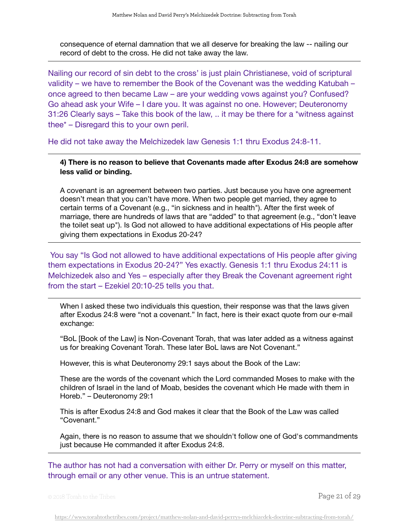consequence of eternal damnation that we all deserve for breaking the law -- nailing our record of debt to the cross. He did not take away the law.

Nailing our record of sin debt to the cross' is just plain Christianese, void of scriptural validity – we have to remember the Book of the Covenant was the wedding Katubah – once agreed to then became Law – are your wedding vows against you? Confused? Go ahead ask your Wife – I dare you. It was against no one. However; Deuteronomy 31:26 Clearly says – Take this book of the law, .. it may be there for a \*witness against thee\* – Disregard this to your own peril.

He did not take away the Melchizedek law Genesis 1:1 thru Exodus 24:8-11.

**4) There is no reason to believe that Covenants made after Exodus 24:8 are somehow less valid or binding.**

A covenant is an agreement between two parties. Just because you have one agreement doesn't mean that you can't have more. When two people get married, they agree to certain terms of a Covenant (e.g., "in sickness and in health"). After the first week of marriage, there are hundreds of laws that are "added" to that agreement (e.g., "don't leave the toilet seat up"). Is God not allowed to have additional expectations of His people after giving them expectations in Exodus 20-24?

 You say "Is God not allowed to have additional expectations of His people after giving them expectations in Exodus 20-24?" Yes exactly. Genesis 1:1 thru Exodus 24:11 is Melchizedek also and Yes – especially after they Break the Covenant agreement right from the start – Ezekiel 20:10-25 tells you that.

When I asked these two individuals this question, their response was that the laws given after Exodus 24:8 were "not a covenant." In fact, here is their exact quote from our e-mail exchange:

"BoL [Book of the Law] is Non-Covenant Torah, that was later added as a witness against us for breaking Covenant Torah. These later BoL laws are Not Covenant."

However, this is what Deuteronomy 29:1 says about the Book of the Law:

These are the words of the covenant which the Lord commanded Moses to make with the children of Israel in the land of Moab, besides the covenant which He made with them in Horeb." – Deuteronomy 29:1

This is after Exodus 24:8 and God makes it clear that the Book of the Law was called "Covenant."

Again, there is no reason to assume that we shouldn't follow one of God's commandments just because He commanded it after Exodus 24:8.

The author has not had a conversation with either Dr. Perry or myself on this matter, through email or any other venue. This is an untrue statement.

© 2018 Torah to the Tribes Page 21 of 29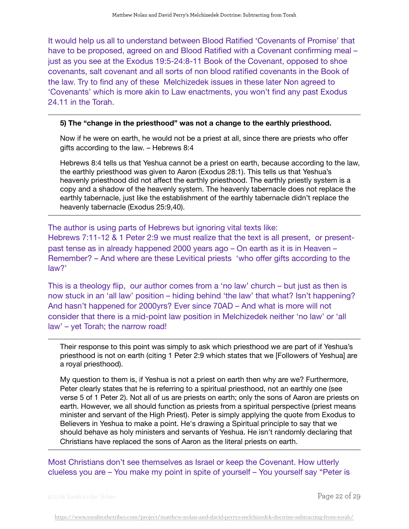It would help us all to understand between Blood Ratified 'Covenants of Promise' that have to be proposed, agreed on and Blood Ratified with a Covenant confirming meal – just as you see at the Exodus 19:5-24:8-11 Book of the Covenant, opposed to shoe covenants, salt covenant and all sorts of non blood ratified covenants in the Book of the law. Try to find any of these Melchizedek issues in these later Non agreed to 'Covenants' which is more akin to Law enactments, you won't find any past Exodus 24.11 in the Torah.

### **5) The "change in the priesthood" was not a change to the earthly priesthood.**

Now if he were on earth, he would not be a priest at all, since there are priests who offer gifts according to the law. – Hebrews 8:4

Hebrews 8:4 tells us that Yeshua cannot be a priest on earth, because according to the law, the earthly priesthood was given to Aaron (Exodus 28:1). This tells us that Yeshua's heavenly priesthood did not affect the earthly priesthood. The earthly priestly system is a copy and a shadow of the heavenly system. The heavenly tabernacle does not replace the earthly tabernacle, just like the establishment of the earthly tabernacle didn't replace the heavenly tabernacle (Exodus 25:9,40).

The author is using parts of Hebrews but ignoring vital texts like: Hebrews 7:11-12 & 1 Peter 2:9 we must realize that the text is all present, or presentpast tense as in already happened 2000 years ago – On earth as it is in Heaven – Remember? – And where are these Levitical priests 'who offer gifts according to the law?'

This is a theology flip, our author comes from a 'no law' church – but just as then is now stuck in an 'all law' position – hiding behind 'the law' that what? Isn't happening? And hasn't happened for 2000yrs? Ever since 70AD – And what is more will not consider that there is a mid-point law position in Melchizedek neither 'no law' or 'all law' – yet Torah; the narrow road!

Their response to this point was simply to ask which priesthood we are part of if Yeshua's priesthood is not on earth (citing 1 Peter 2:9 which states that we [Followers of Yeshua] are a royal priesthood).

My question to them is, if Yeshua is not a priest on earth then why are we? Furthermore, Peter clearly states that he is referring to a spiritual priesthood, not an earthly one (see verse 5 of 1 Peter 2). Not all of us are priests on earth; only the sons of Aaron are priests on earth. However, we all should function as priests from a spiritual perspective (priest means minister and servant of the High Priest). Peter is simply applying the quote from Exodus to Believers in Yeshua to make a point. He's drawing a Spiritual principle to say that we should behave as holy ministers and servants of Yeshua. He isn't randomly declaring that Christians have replaced the sons of Aaron as the literal priests on earth.

Most Christians don't see themselves as Israel or keep the Covenant. How utterly clueless you are – You make my point in spite of yourself – You yourself say "Peter is

© 2018 Torah to the Tribes  $\overline{P}$   $\overline{P}$   $\overline{Q}$   $\overline{Q}$   $\overline{Q}$   $\overline{Q}$   $\overline{Q}$   $\overline{Q}$   $\overline{Q}$   $\overline{Q}$   $\overline{Q}$   $\overline{Q}$   $\overline{Q}$   $\overline{Q}$   $\overline{Q}$   $\overline{Q}$   $\overline{Q}$   $\overline{Q}$   $\overline{Q}$   $\overline{Q}$   $\overline{Q}$   $\overline{$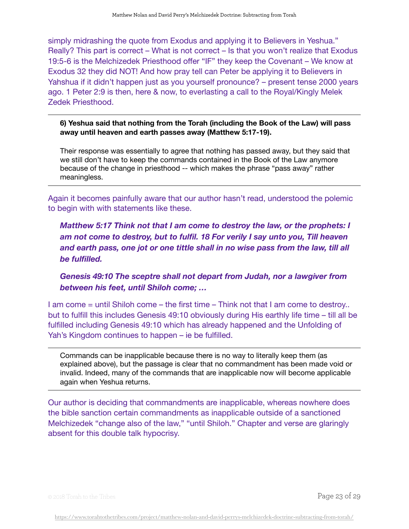simply midrashing the quote from Exodus and applying it to Believers in Yeshua." Really? This part is correct – What is not correct – Is that you won't realize that Exodus 19:5-6 is the Melchizedek Priesthood offer "IF" they keep the Covenant – We know at Exodus 32 they did NOT! And how pray tell can Peter be applying it to Believers in Yahshua if it didn't happen just as you yourself pronounce? – present tense 2000 years ago. 1 Peter 2:9 is then, here & now, to everlasting a call to the Royal/Kingly Melek Zedek Priesthood.

**6) Yeshua said that nothing from the Torah (including the Book of the Law) will pass away until heaven and earth passes away (Matthew 5:17-19).**

Their response was essentially to agree that nothing has passed away, but they said that we still don't have to keep the commands contained in the Book of the Law anymore because of the change in priesthood -- which makes the phrase "pass away" rather meaningless.

Again it becomes painfully aware that our author hasn't read, understood the polemic to begin with with statements like these.

*Matthew 5:17 Think not that I am come to destroy the law, or the prophets: I am not come to destroy, but to fulfil. 18 For verily I say unto you, Till heaven and earth pass, one jot or one tittle shall in no wise pass from the law, till all be fulfilled.* 

*Genesis 49:10 The sceptre shall not depart from Judah, nor a lawgiver from between his feet, until Shiloh come; …* 

I am come = until Shiloh come – the first time – Think not that I am come to destroy.. but to fulfill this includes Genesis 49:10 obviously during His earthly life time – till all be fulfilled including Genesis 49:10 which has already happened and the Unfolding of Yah's Kingdom continues to happen – ie be fulfilled.

Commands can be inapplicable because there is no way to literally keep them (as explained above), but the passage is clear that no commandment has been made void or invalid. Indeed, many of the commands that are inapplicable now will become applicable again when Yeshua returns.

Our author is deciding that commandments are inapplicable, whereas nowhere does the bible sanction certain commandments as inapplicable outside of a sanctioned Melchizedek "change also of the law," "until Shiloh." Chapter and verse are glaringly absent for this double talk hypocrisy.

© 2018 Torah to the Tribes Page 23 of 29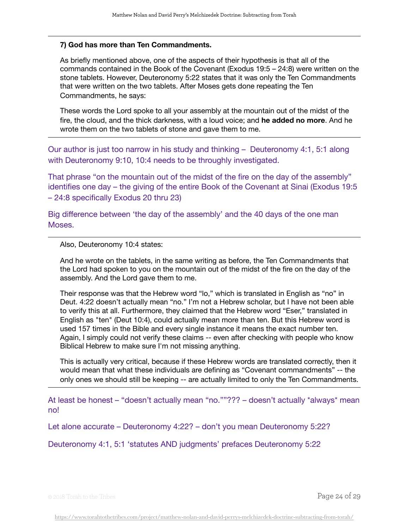#### **7) God has more than Ten Commandments.**

As briefly mentioned above, one of the aspects of their hypothesis is that all of the commands contained in the Book of the Covenant (Exodus 19:5 – 24:8) were written on the stone tablets. However, Deuteronomy 5:22 states that it was only the Ten Commandments that were written on the two tablets. After Moses gets done repeating the Ten Commandments, he says:

These words the Lord spoke to all your assembly at the mountain out of the midst of the fire, the cloud, and the thick darkness, with a loud voice; and **he added no more**. And he wrote them on the two tablets of stone and gave them to me.

Our author is just too narrow in his study and thinking – Deuteronomy 4:1, 5:1 along with Deuteronomy 9:10, 10:4 needs to be throughly investigated.

That phrase "on the mountain out of the midst of the fire on the day of the assembly" identifies one day – the giving of the entire Book of the Covenant at Sinai (Exodus 19:5 – 24:8 specifically Exodus 20 thru 23)

Big difference between 'the day of the assembly' and the 40 days of the one man Moses.

Also, Deuteronomy 10:4 states:

And he wrote on the tablets, in the same writing as before, the Ten Commandments that the Lord had spoken to you on the mountain out of the midst of the fire on the day of the assembly. And the Lord gave them to me.

Their response was that the Hebrew word "lo," which is translated in English as "no" in Deut. 4:22 doesn't actually mean "no." I'm not a Hebrew scholar, but I have not been able to verify this at all. Furthermore, they claimed that the Hebrew word "Eser," translated in English as "ten" (Deut 10:4), could actually mean more than ten. But this Hebrew word is used 157 times in the Bible and every single instance it means the exact number ten. Again, I simply could not verify these claims -- even after checking with people who know Biblical Hebrew to make sure I'm not missing anything.

This is actually very critical, because if these Hebrew words are translated correctly, then it would mean that what these individuals are defining as "Covenant commandments" -- the only ones we should still be keeping -- are actually limited to only the Ten Commandments.

At least be honest – "doesn't actually mean "no.""??? – doesn't actually \*always\* mean no!

Let alone accurate – Deuteronomy 4:22? – don't you mean Deuteronomy 5:22?

Deuteronomy 4:1, 5:1 'statutes AND judgments' prefaces Deuteronomy 5:22

© 2018 Torah to the Tribes Page 24 of 29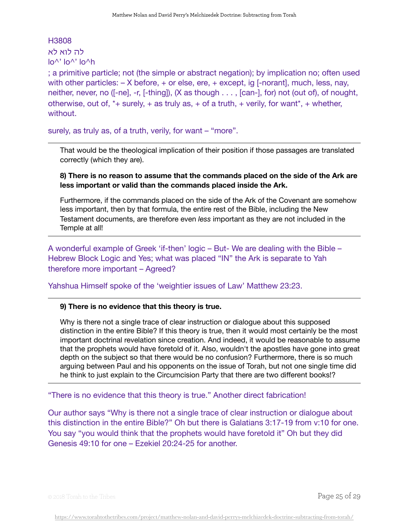## H3808 לה לוא לא  $\ln^{\wedge} \ln^{\wedge} \ln^{\wedge}$

; a primitive particle; not (the simple or abstract negation); by implication no; often used with other particles:  $- X$  before,  $+$  or else, ere,  $+$  except, ig [-norant], much, less, nay, neither, never, no ([-ne], -r, [-thing]), (X as though . . . , [can-], for) not (out of), of nought, otherwise, out of,  $*+$  surely,  $+$  as truly as,  $+$  of a truth,  $+$  verily, for want $*$ ,  $+$  whether, without.

surely, as truly as, of a truth, verily, for want – "more".

That would be the theological implication of their position if those passages are translated correctly (which they are).

## **8) There is no reason to assume that the commands placed on the side of the Ark are less important or valid than the commands placed inside the Ark.**

Furthermore, if the commands placed on the side of the Ark of the Covenant are somehow less important, then by that formula, the entire rest of the Bible, including the New Testament documents, are therefore even *less* important as they are not included in the Temple at all!

A wonderful example of Greek 'if-then' logic – But- We are dealing with the Bible – Hebrew Block Logic and Yes; what was placed "IN" the Ark is separate to Yah therefore more important – Agreed?

Yahshua Himself spoke of the 'weightier issues of Law' Matthew 23:23.

## **9) There is no evidence that this theory is true.**

Why is there not a single trace of clear instruction or dialogue about this supposed distinction in the entire Bible? If this theory is true, then it would most certainly be the most important doctrinal revelation since creation. And indeed, it would be reasonable to assume that the prophets would have foretold of it. Also, wouldn't the apostles have gone into great depth on the subject so that there would be no confusion? Furthermore, there is so much arguing between Paul and his opponents on the issue of Torah, but not one single time did he think to just explain to the Circumcision Party that there are two different books!?

"There is no evidence that this theory is true." Another direct fabrication!

Our author says "Why is there not a single trace of clear instruction or dialogue about this distinction in the entire Bible?" Oh but there is Galatians 3:17-19 from v:10 for one. You say "you would think that the prophets would have foretold it" Oh but they did Genesis 49:10 for one – Ezekiel 20:24-25 for another.

© 2018 Torah to the Tribes Page 25 of 29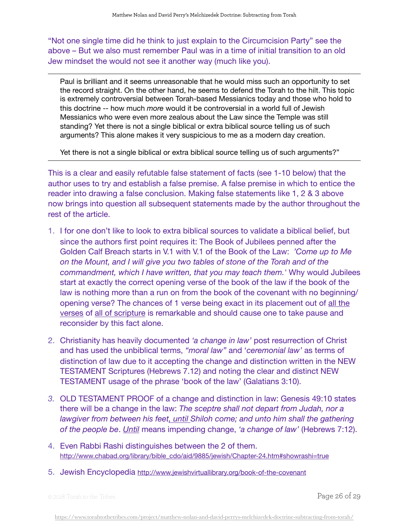"Not one single time did he think to just explain to the Circumcision Party" see the above – But we also must remember Paul was in a time of initial transition to an old Jew mindset the would not see it another way (much like you).

Paul is brilliant and it seems unreasonable that he would miss such an opportunity to set the record straight. On the other hand, he seems to defend the Torah to the hilt. This topic is extremely controversial between Torah-based Messianics today and those who hold to this doctrine -- how much *more* would it be controversial in a world full of Jewish Messianics who were even more zealous about the Law since the Temple was still standing? Yet there is not a single biblical or extra biblical source telling us of such arguments? This alone makes it very suspicious to me as a modern day creation.

Yet there is not a single biblical or extra biblical source telling us of such arguments?"

This is a clear and easily refutable false statement of facts (see 1-10 below) that the author uses to try and establish a false premise. A false premise in which to entice the reader into drawing a false conclusion. Making false statements like 1, 2 & 3 above now brings into question all subsequent statements made by the author throughout the rest of the article.

- 1. I for one don't like to look to extra biblical sources to validate a biblical belief, but since the authors first point requires it: The Book of Jubilees penned after the Golden Calf Breach starts in V.1 with V.1 of the Book of the Law: *'Come up to Me on the Mount, and I will give you two tables of stone of the Torah and of the commandment, which I have written, that you may teach them.'* Why would Jubilees start at exactly the correct opening verse of the book of the law if the book of the law is nothing more than a run on from the book of the covenant with no beginning/ opening verse? The chances of 1 verse being exact in its placement out of all the verses of all of scripture is remarkable and should cause one to take pause and reconsider by this fact alone.
- 2. Christianity has heavily documented *'a change in law'* post resurrection of Christ and has used the unbiblical terms, *"moral law"* and '*ceremonial law'* as terms of distinction of law due to it accepting the change and distinction written in the NEW TESTAMENT Scriptures (Hebrews 7.12) and noting the clear and distinct NEW TESTAMENT usage of the phrase 'book of the law' (Galatians 3:10).
- *3.* OLD TESTAMENT PROOF of a change and distinction in law: Genesis 49:10 states there will be a change in the law: *The sceptre shall not depart from Judah, nor a lawgiver from between his feet, until Shiloh come; and unto him shall the gathering of the people be*. *Until* means impending change, *'a change of law'* (Hebrews 7:12).
- 4. Even Rabbi Rashi distinguishes between the 2 of them. [http://www.chabad.org/library/bible\\_cdo/aid/9885/jewish/Chapter-24.htm#showrashi=true](http://www.chabad.org/library/bible_cdo/aid/9885/jewish/Chapter-24.htm#showrashi=true)
- 5. Jewish Encyclopedia<http://www.jewishvirtuallibrary.org/book-of-the-covenant>

© 2018 Torah to the Tribes  $\overline{P}$   $\overline{P}$   $\overline{Q}$   $\overline{Q}$   $\overline{Q}$   $\overline{Q}$   $\overline{Q}$   $\overline{Q}$   $\overline{Q}$   $\overline{Q}$   $\overline{Q}$   $\overline{Q}$   $\overline{Q}$   $\overline{Q}$   $\overline{Q}$   $\overline{Q}$   $\overline{Q}$   $\overline{Q}$   $\overline{Q}$   $\overline{Q}$   $\overline{Q}$   $\overline{$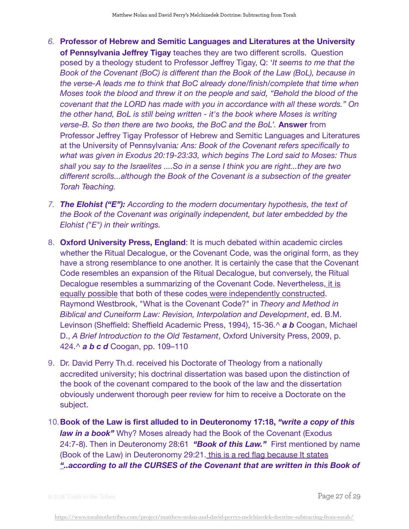- *6.* **Professor of Hebrew and Semitic Languages and Literatures at the University of Pennsylvania Jeffrey Tigay** teaches they are two different scrolls. Question posed by a theology student to Professor Jeffrey Tigay, Q: '*It seems to me that the Book of the Covenant (BoC) is different than the Book of the Law (BoL), because in the verse-A leads me to think that BoC already done/finish/complete that time when Moses took the blood and threw it on the people and said, "Behold the blood of the covenant that the LORD has made with you in accordance with all these words." On the other hand, BoL is still being written - it's the book where Moses is writing verse-B. So then there are two books, the BoC and the BoL'.* **Answer** from Professor Jeffrey Tigay Professor of Hebrew and Semitic Languages and Literatures at the University of Pennsylvania*: Ans: Book of the Covenant refers specifically to what was given in Exodus 20:19-23:33, which begins The Lord said to Moses: Thus shall you say to the Israelites ....So in a sense I think you are right...they are two different scrolls...although the Book of the Covenant is a subsection of the greater Torah Teaching.*
- *7. The Elohist ("E"): According to the modern documentary hypothesis, the text of the Book of the Covenant was originally independent, but later embedded by the Elohist ("E") in their writings.*
- 8. **Oxford University Press, England**: It is much debated within academic circles whether the Ritual Decalogue, or the Covenant Code, was the original form, as they have a strong resemblance to one another. It is certainly the case that the Covenant Code resembles an expansion of the Ritual Decalogue, but conversely, the Ritual Decalogue resembles a summarizing of the Covenant Code. Nevertheless, it is equally possible that both of these codes were independently constructed. Raymond Westbrook, "What is the Covenant Code?" in *Theory and Method in Biblical and Cuneiform Law: Revision, Interpolation and Development*, ed. B.M. Levinson (Sheffield: Sheffield Academic Press, 1994), 15-36.^ *a b* Coogan, Michael D., *A Brief Introduction to the Old Testament*, Oxford University Press, 2009, p. 424.^ *a b c d* Coogan, pp. 109–110
- 9. Dr. David Perry Th.d. received his Doctorate of Theology from a nationally accredited university; his doctrinal dissertation was based upon the distinction of the book of the covenant compared to the book of the law and the dissertation obviously underwent thorough peer review for him to receive a Doctorate on the subject.
- 10.**Book of the Law is first alluded to in Deuteronomy 17:18,** *"write a copy of this law in a book"* Why? Moses already had the Book of the Covenant (Exodus 24:7-8). Then in Deuteronomy 28:61 *"Book of this Law."* First mentioned by name (Book of the Law) in Deuteronomy 29:21. this is a red flag because It states *"..according to all the CURSES of the Covenant that are written in this Book of*

© 2018 Torah to the Tribes Page 27 of 29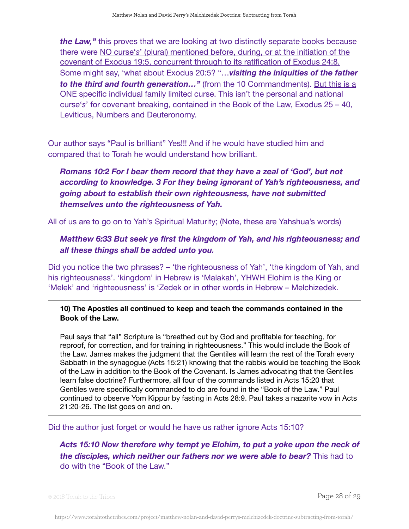*the Law,"* this proves that we are looking at two distinctly separate books because there were NO curse'*s*' (plural) mentioned before, during, or at the initiation of the covenant of Exodus 19:5, concurrent through to its ratification of Exodus 24:8, Some might say, 'what about Exodus 20:5? "…*visiting the iniquities of the father to the third and fourth generation…"* (from the 10 Commandments). But this is a ONE specific individual family limited curse. This isn't the personal and national curse'*s*' for covenant breaking, contained in the Book of the Law, Exodus 25 – 40, Leviticus, Numbers and Deuteronomy.

Our author says "Paul is brilliant" Yes!!! And if he would have studied him and compared that to Torah he would understand how brilliant.

# *Romans 10:2 For I bear them record that they have a zeal of 'God', but not according to knowledge. 3 For they being ignorant of Yah's righteousness, and going about to establish their own righteousness, have not submitted themselves unto the righteousness of Yah.*

All of us are to go on to Yah's Spiritual Maturity; (Note, these are Yahshua's words)

## *Matthew 6:33 But seek ye first the kingdom of Yah, and his righteousness; and all these things shall be added unto you.*

Did you notice the two phrases? – 'the righteousness of Yah', 'the kingdom of Yah, and his righteousness'. 'kingdom' in Hebrew is 'Malakah', YHWH Elohim is the King or 'Melek' and 'righteousness' is 'Zedek or in other words in Hebrew – Melchizedek.

## **10) The Apostles all continued to keep and teach the commands contained in the Book of the Law.**

Paul says that "all" Scripture is "breathed out by God and profitable for teaching, for reproof, for correction, and for training in righteousness." This would include the Book of the Law. James makes the judgment that the Gentiles will learn the rest of the Torah every Sabbath in the synagogue (Acts 15:21) knowing that the rabbis would be teaching the Book of the Law in addition to the Book of the Covenant. Is James advocating that the Gentiles learn false doctrine? Furthermore, all four of the commands listed in Acts 15:20 that Gentiles were specifically commanded to do are found in the "Book of the Law." Paul continued to observe Yom Kippur by fasting in Acts 28:9. Paul takes a nazarite vow in Acts 21:20-26. The list goes on and on.

Did the author just forget or would he have us rather ignore Acts 15:10?

*Acts 15:10 Now therefore why tempt ye Elohim, to put a yoke upon the neck of the disciples, which neither our fathers nor we were able to bear?* This had to do with the "Book of the Law."

© 2018 Torah to the Tribes Page 28 of 29